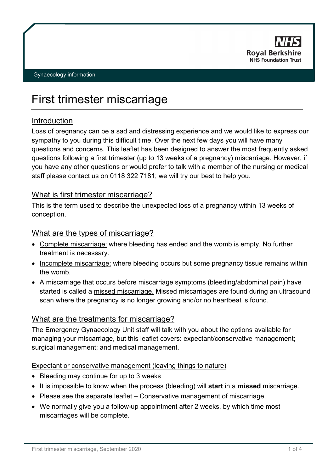

# First trimester miscarriage

# Introduction

Loss of pregnancy can be a sad and distressing experience and we would like to express our sympathy to you during this difficult time. Over the next few days you will have many questions and concerns. This leaflet has been designed to answer the most frequently asked questions following a first trimester (up to 13 weeks of a pregnancy) miscarriage. However, if you have any other questions or would prefer to talk with a member of the nursing or medical staff please contact us on 0118 322 7181; we will try our best to help you.

## What is first trimester miscarriage?

This is the term used to describe the unexpected loss of a pregnancy within 13 weeks of conception.

# What are the types of miscarriage?

- Complete miscarriage: where bleeding has ended and the womb is empty. No further treatment is necessary.
- Incomplete miscarriage: where bleeding occurs but some pregnancy tissue remains within the womb.
- A miscarriage that occurs before miscarriage symptoms (bleeding/abdominal pain) have started is called a missed miscarriage. Missed miscarriages are found during an ultrasound scan where the pregnancy is no longer growing and/or no heartbeat is found.

# What are the treatments for miscarriage?

The Emergency Gynaecology Unit staff will talk with you about the options available for managing your miscarriage, but this leaflet covers: expectant/conservative management; surgical management; and medical management.

## Expectant or conservative management (leaving things to nature)

- Bleeding may continue for up to 3 weeks
- It is impossible to know when the process (bleeding) will **start** in a **missed** miscarriage.
- Please see the separate leaflet Conservative management of miscarriage.
- We normally give you a follow-up appointment after 2 weeks, by which time most miscarriages will be complete.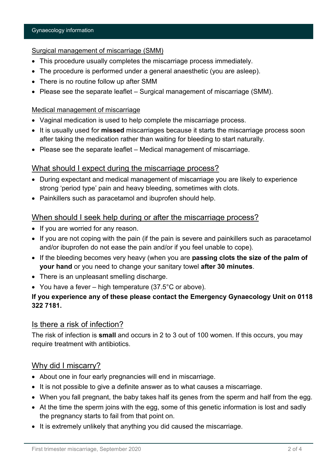#### Surgical management of miscarriage (SMM)

- This procedure usually completes the miscarriage process immediately.
- The procedure is performed under a general anaesthetic (you are asleep).
- There is no routine follow up after SMM
- Please see the separate leaflet Surgical management of miscarriage (SMM).

#### Medical management of miscarriage

- Vaginal medication is used to help complete the miscarriage process.
- It is usually used for **missed** miscarriages because it starts the miscarriage process soon after taking the medication rather than waiting for bleeding to start naturally.
- Please see the separate leaflet Medical management of miscarriage.

## What should I expect during the miscarriage process?

- During expectant and medical management of miscarriage you are likely to experience strong 'period type' pain and heavy bleeding, sometimes with clots.
- Painkillers such as paracetamol and ibuprofen should help.

## When should I seek help during or after the miscarriage process?

- If you are worried for any reason.
- If you are not coping with the pain (if the pain is severe and painkillers such as paracetamol and/or ibuprofen do not ease the pain and/or if you feel unable to cope).
- If the bleeding becomes very heavy (when you are **passing clots the size of the palm of your hand** or you need to change your sanitary towel **after 30 minutes**.
- There is an unpleasant smelling discharge.
- You have a fever high temperature (37.5°C or above).

## **If you experience any of these please contact the Emergency Gynaecology Unit on 0118 322 7181.**

## Is there a risk of infection?

The risk of infection is **small** and occurs in 2 to 3 out of 100 women. If this occurs, you may require treatment with antibiotics.

# Why did I miscarry?

- About one in four early pregnancies will end in miscarriage.
- It is not possible to give a definite answer as to what causes a miscarriage.
- When you fall pregnant, the baby takes half its genes from the sperm and half from the egg.
- At the time the sperm joins with the egg, some of this genetic information is lost and sadly the pregnancy starts to fail from that point on.
- It is extremely unlikely that anything you did caused the miscarriage.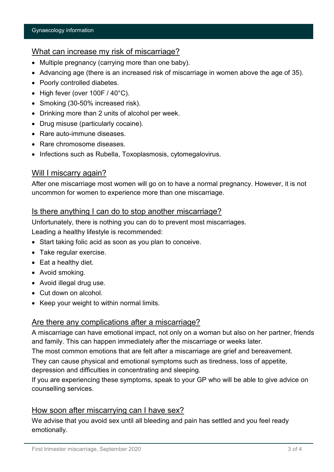## What can increase my risk of miscarriage?

- Multiple pregnancy (carrying more than one baby).
- Advancing age (there is an increased risk of miscarriage in women above the age of 35).
- Poorly controlled diabetes.
- High fever (over 100F / 40°C).
- Smoking (30-50% increased risk).
- Drinking more than 2 units of alcohol per week.
- Drug misuse (particularly cocaine).
- Rare auto-immune diseases.
- Rare chromosome diseases.
- Infections such as Rubella, Toxoplasmosis, cytomegalovirus.

## Will I miscarry again?

After one miscarriage most women will go on to have a normal pregnancy. However, it is not uncommon for women to experience more than one miscarriage.

#### Is there anything I can do to stop another miscarriage?

Unfortunately, there is nothing you can do to prevent most miscarriages. Leading a healthy lifestyle is recommended:

- Start taking folic acid as soon as you plan to conceive.
- Take regular exercise.
- Eat a healthy diet.
- Avoid smoking.
- Avoid illegal drug use.
- Cut down on alcohol.
- Keep your weight to within normal limits.

## Are there any complications after a miscarriage?

A miscarriage can have emotional impact, not only on a woman but also on her partner, friends and family. This can happen immediately after the miscarriage or weeks later.

The most common emotions that are felt after a miscarriage are grief and bereavement.

They can cause physical and emotional symptoms such as tiredness, loss of appetite, depression and difficulties in concentrating and sleeping.

If you are experiencing these symptoms, speak to your GP who will be able to give advice on counselling services.

# How soon after miscarrying can I have sex?

We advise that you avoid sex until all bleeding and pain has settled and you feel ready emotionally.